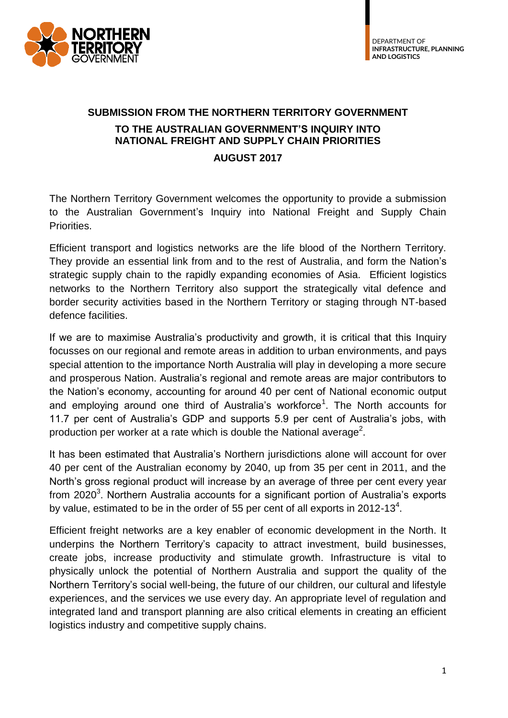

# **SUBMISSION FROM THE NORTHERN TERRITORY GOVERNMENT TO THE AUSTRALIAN GOVERNMENT'S INQUIRY INTO NATIONAL FREIGHT AND SUPPLY CHAIN PRIORITIES**

#### **AUGUST 2017**

The Northern Territory Government welcomes the opportunity to provide a submission to the Australian Government's Inquiry into National Freight and Supply Chain Priorities.

Efficient transport and logistics networks are the life blood of the Northern Territory. They provide an essential link from and to the rest of Australia, and form the Nation's strategic supply chain to the rapidly expanding economies of Asia. Efficient logistics networks to the Northern Territory also support the strategically vital defence and border security activities based in the Northern Territory or staging through NT-based defence facilities.

If we are to maximise Australia's productivity and growth, it is critical that this Inquiry focusses on our regional and remote areas in addition to urban environments, and pays special attention to the importance North Australia will play in developing a more secure and prosperous Nation. Australia's regional and remote areas are major contributors to the Nation's economy, accounting for around 40 per cent of National economic output and employing around one third of Australia's workforce<sup>1</sup>. The North accounts for 11.7 per cent of Australia's GDP and supports 5.9 per cent of Australia's jobs, with production per worker at a rate which is double the National average<sup>2</sup>.

It has been estimated that Australia's Northern jurisdictions alone will account for over 40 per cent of the Australian economy by 2040, up from 35 per cent in 2011, and the North's gross regional product will increase by an average of three per cent every year from 2020<sup>3</sup>. Northern Australia accounts for a significant portion of Australia's exports by value, estimated to be in the order of 55 per cent of all exports in 2012-13<sup>4</sup>.

Efficient freight networks are a key enabler of economic development in the North. It underpins the Northern Territory's capacity to attract investment, build businesses, create jobs, increase productivity and stimulate growth. Infrastructure is vital to physically unlock the potential of Northern Australia and support the quality of the Northern Territory's social well-being, the future of our children, our cultural and lifestyle experiences, and the services we use every day. An appropriate level of regulation and integrated land and transport planning are also critical elements in creating an efficient logistics industry and competitive supply chains.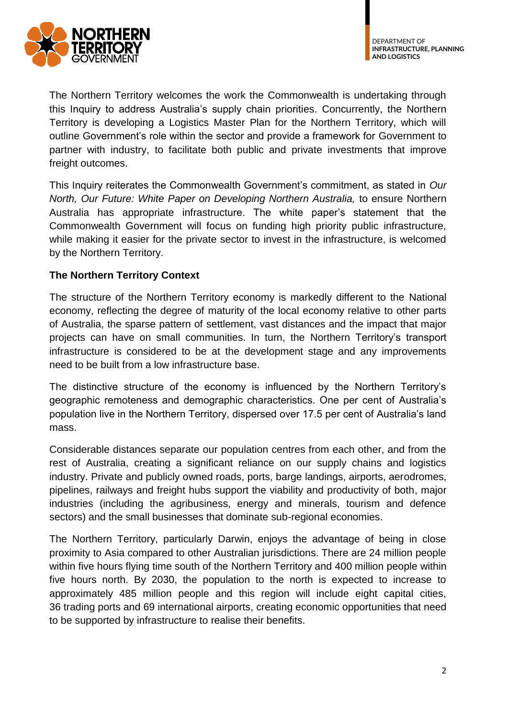

The Northern Territory welcomes the work the Commonwealth is undertaking through this Inquiry to address Australia's supply chain priorities. Concurrently, the Northern Territory is developing a Logistics Master Plan for the Northern Territory, which will outline Government's role within the sector and provide a framework for Government to partner with industry, to facilitate both public and private investments that improve freight outcomes.

This Inquiry reiterates the Commonwealth Government's commitment, as stated in *Our North, Our Future: White Paper on Developing Northern Australia,* to ensure Northern Australia has appropriate infrastructure. The white paper's statement that the Commonwealth Government will focus on funding high priority public infrastructure, while making it easier for the private sector to invest in the infrastructure, is welcomed by the Northern Territory.

# **The Northern Territory Context**

The structure of the Northern Territory economy is markedly different to the National economy, reflecting the degree of maturity of the local economy relative to other parts of Australia, the sparse pattern of settlement, vast distances and the impact that major projects can have on small communities. In turn, the Northern Territory's transport infrastructure is considered to be at the development stage and any improvements need to be built from a low infrastructure base.

The distinctive structure of the economy is influenced by the Northern Territory's geographic remoteness and demographic characteristics. One per cent of Australia's population live in the Northern Territory, dispersed over 17.5 per cent of Australia's land mass.

Considerable distances separate our population centres from each other, and from the rest of Australia, creating a significant reliance on our supply chains and logistics industry. Private and publicly owned roads, ports, barge landings, airports, aerodromes, pipelines, railways and freight hubs support the viability and productivity of both, major industries (including the agribusiness, energy and minerals, tourism and defence sectors) and the small businesses that dominate sub-regional economies.

The Northern Territory, particularly Darwin, enjoys the advantage of being in close proximity to Asia compared to other Australian jurisdictions. There are 24 million people within five hours flying time south of the Northern Territory and 400 million people within five hours north. By 2030, the population to the north is expected to increase to approximately 485 million people and this region will include eight capital cities, 36 trading ports and 69 international airports, creating economic opportunities that need to be supported by infrastructure to realise their benefits.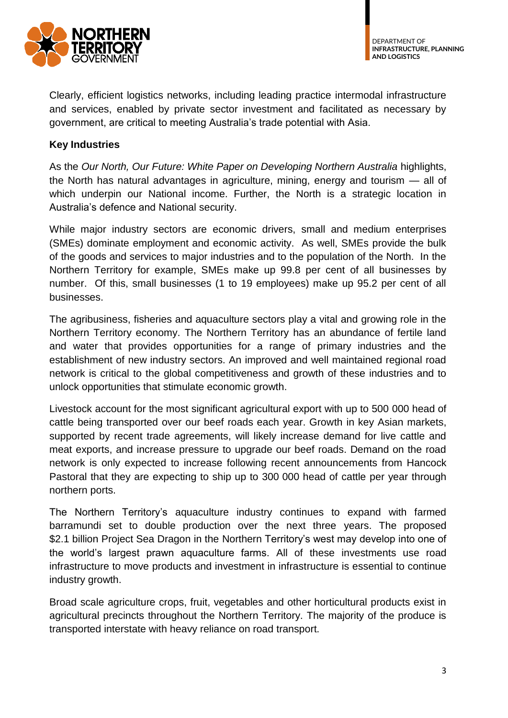

Clearly, efficient logistics networks, including leading practice intermodal infrastructure and services, enabled by private sector investment and facilitated as necessary by government, are critical to meeting Australia's trade potential with Asia.

# **Key Industries**

As the *Our North, Our Future: White Paper on Developing Northern Australia* highlights, the North has natural advantages in agriculture, mining, energy and tourism — all of which underpin our National income. Further, the North is a strategic location in Australia's defence and National security.

While major industry sectors are economic drivers, small and medium enterprises (SMEs) dominate employment and economic activity. As well, SMEs provide the bulk of the goods and services to major industries and to the population of the North. In the Northern Territory for example, SMEs make up 99.8 per cent of all businesses by number. Of this, small businesses (1 to 19 employees) make up 95.2 per cent of all businesses.

The agribusiness, fisheries and aquaculture sectors play a vital and growing role in the Northern Territory economy. The Northern Territory has an abundance of fertile land and water that provides opportunities for a range of primary industries and the establishment of new industry sectors. An improved and well maintained regional road network is critical to the global competitiveness and growth of these industries and to unlock opportunities that stimulate economic growth.

Livestock account for the most significant agricultural export with up to 500 000 head of cattle being transported over our beef roads each year. Growth in key Asian markets, supported by recent trade agreements, will likely increase demand for live cattle and meat exports, and increase pressure to upgrade our beef roads. Demand on the road network is only expected to increase following recent announcements from Hancock Pastoral that they are expecting to ship up to 300 000 head of cattle per year through northern ports.

The Northern Territory's aquaculture industry continues to expand with farmed barramundi set to double production over the next three years. The proposed \$2.1 billion Project Sea Dragon in the Northern Territory's west may develop into one of the world's largest prawn aquaculture farms. All of these investments use road infrastructure to move products and investment in infrastructure is essential to continue industry growth.

Broad scale agriculture crops, fruit, vegetables and other horticultural products exist in agricultural precincts throughout the Northern Territory. The majority of the produce is transported interstate with heavy reliance on road transport.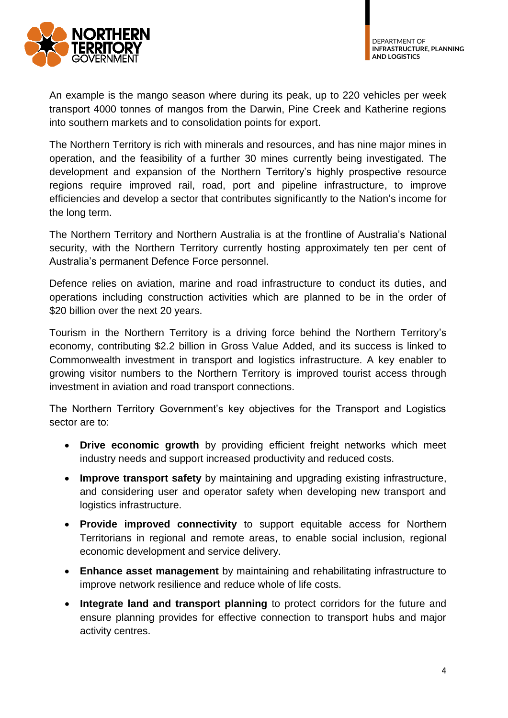



An example is the mango season where during its peak, up to 220 vehicles per week transport 4000 tonnes of mangos from the Darwin, Pine Creek and Katherine regions into southern markets and to consolidation points for export.

The Northern Territory is rich with minerals and resources, and has nine major mines in operation, and the feasibility of a further 30 mines currently being investigated. The development and expansion of the Northern Territory's highly prospective resource regions require improved rail, road, port and pipeline infrastructure, to improve efficiencies and develop a sector that contributes significantly to the Nation's income for the long term.

The Northern Territory and Northern Australia is at the frontline of Australia's National security, with the Northern Territory currently hosting approximately ten per cent of Australia's permanent Defence Force personnel.

Defence relies on aviation, marine and road infrastructure to conduct its duties, and operations including construction activities which are planned to be in the order of \$20 billion over the next 20 years.

Tourism in the Northern Territory is a driving force behind the Northern Territory's economy, contributing \$2.2 billion in Gross Value Added, and its success is linked to Commonwealth investment in transport and logistics infrastructure. A key enabler to growing visitor numbers to the Northern Territory is improved tourist access through investment in aviation and road transport connections.

The Northern Territory Government's key objectives for the Transport and Logistics sector are to:

- **Drive economic growth** by providing efficient freight networks which meet industry needs and support increased productivity and reduced costs.
- **Improve transport safety** by maintaining and upgrading existing infrastructure, and considering user and operator safety when developing new transport and logistics infrastructure.
- **Provide improved connectivity** to support equitable access for Northern Territorians in regional and remote areas, to enable social inclusion, regional economic development and service delivery.
- **Enhance asset management** by maintaining and rehabilitating infrastructure to improve network resilience and reduce whole of life costs.
- **Integrate land and transport planning** to protect corridors for the future and ensure planning provides for effective connection to transport hubs and major activity centres.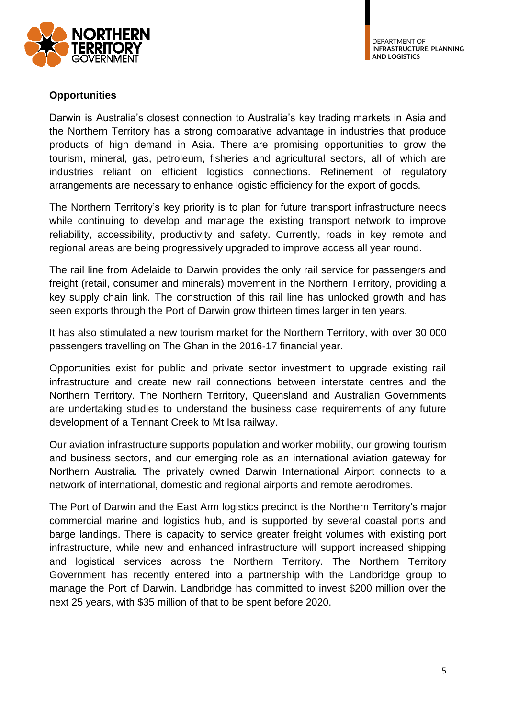

## **Opportunities**

Darwin is Australia's closest connection to Australia's key trading markets in Asia and the Northern Territory has a strong comparative advantage in industries that produce products of high demand in Asia. There are promising opportunities to grow the tourism, mineral, gas, petroleum, fisheries and agricultural sectors, all of which are industries reliant on efficient logistics connections. Refinement of regulatory arrangements are necessary to enhance logistic efficiency for the export of goods.

The Northern Territory's key priority is to plan for future transport infrastructure needs while continuing to develop and manage the existing transport network to improve reliability, accessibility, productivity and safety. Currently, roads in key remote and regional areas are being progressively upgraded to improve access all year round.

The rail line from Adelaide to Darwin provides the only rail service for passengers and freight (retail, consumer and minerals) movement in the Northern Territory, providing a key supply chain link. The construction of this rail line has unlocked growth and has seen exports through the Port of Darwin grow thirteen times larger in ten years.

It has also stimulated a new tourism market for the Northern Territory, with over 30 000 passengers travelling on The Ghan in the 2016-17 financial year.

Opportunities exist for public and private sector investment to upgrade existing rail infrastructure and create new rail connections between interstate centres and the Northern Territory. The Northern Territory, Queensland and Australian Governments are undertaking studies to understand the business case requirements of any future development of a Tennant Creek to Mt Isa railway.

Our aviation infrastructure supports population and worker mobility, our growing tourism and business sectors, and our emerging role as an international aviation gateway for Northern Australia. The privately owned Darwin International Airport connects to a network of international, domestic and regional airports and remote aerodromes.

The Port of Darwin and the East Arm logistics precinct is the Northern Territory's major commercial marine and logistics hub, and is supported by several coastal ports and barge landings. There is capacity to service greater freight volumes with existing port infrastructure, while new and enhanced infrastructure will support increased shipping and logistical services across the Northern Territory. The Northern Territory Government has recently entered into a partnership with the Landbridge group to manage the Port of Darwin. Landbridge has committed to invest \$200 million over the next 25 years, with \$35 million of that to be spent before 2020.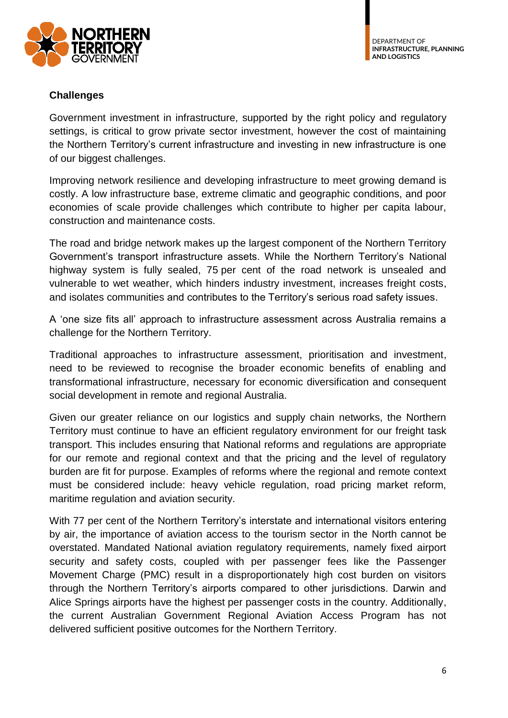

#### **Challenges**

Government investment in infrastructure, supported by the right policy and regulatory settings, is critical to grow private sector investment, however the cost of maintaining the Northern Territory's current infrastructure and investing in new infrastructure is one of our biggest challenges.

Improving network resilience and developing infrastructure to meet growing demand is costly. A low infrastructure base, extreme climatic and geographic conditions, and poor economies of scale provide challenges which contribute to higher per capita labour, construction and maintenance costs.

The road and bridge network makes up the largest component of the Northern Territory Government's transport infrastructure assets. While the Northern Territory's National highway system is fully sealed, 75 per cent of the road network is unsealed and vulnerable to wet weather, which hinders industry investment, increases freight costs, and isolates communities and contributes to the Territory's serious road safety issues.

A 'one size fits all' approach to infrastructure assessment across Australia remains a challenge for the Northern Territory.

Traditional approaches to infrastructure assessment, prioritisation and investment, need to be reviewed to recognise the broader economic benefits of enabling and transformational infrastructure, necessary for economic diversification and consequent social development in remote and regional Australia.

Given our greater reliance on our logistics and supply chain networks, the Northern Territory must continue to have an efficient regulatory environment for our freight task transport. This includes ensuring that National reforms and regulations are appropriate for our remote and regional context and that the pricing and the level of regulatory burden are fit for purpose. Examples of reforms where the regional and remote context must be considered include: heavy vehicle regulation, road pricing market reform, maritime regulation and aviation security.

With 77 per cent of the Northern Territory's interstate and international visitors entering by air, the importance of aviation access to the tourism sector in the North cannot be overstated. Mandated National aviation regulatory requirements, namely fixed airport security and safety costs, coupled with per passenger fees like the Passenger Movement Charge (PMC) result in a disproportionately high cost burden on visitors through the Northern Territory's airports compared to other jurisdictions. Darwin and Alice Springs airports have the highest per passenger costs in the country. Additionally, the current Australian Government Regional Aviation Access Program has not delivered sufficient positive outcomes for the Northern Territory.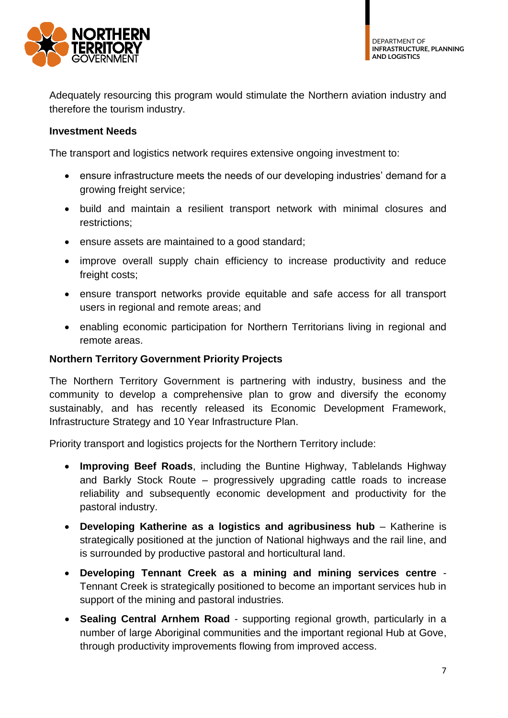

Adequately resourcing this program would stimulate the Northern aviation industry and therefore the tourism industry.

## **Investment Needs**

The transport and logistics network requires extensive ongoing investment to:

- ensure infrastructure meets the needs of our developing industries' demand for a growing freight service;
- build and maintain a resilient transport network with minimal closures and restrictions;
- ensure assets are maintained to a good standard;
- improve overall supply chain efficiency to increase productivity and reduce freight costs;
- ensure transport networks provide equitable and safe access for all transport users in regional and remote areas; and
- enabling economic participation for Northern Territorians living in regional and remote areas.

#### **Northern Territory Government Priority Projects**

The Northern Territory Government is partnering with industry, business and the community to develop a comprehensive plan to grow and diversify the economy sustainably, and has recently released its Economic Development Framework, Infrastructure Strategy and 10 Year Infrastructure Plan.

Priority transport and logistics projects for the Northern Territory include:

- **Improving Beef Roads**, including the Buntine Highway, Tablelands Highway and Barkly Stock Route – progressively upgrading cattle roads to increase reliability and subsequently economic development and productivity for the pastoral industry.
- **Developing Katherine as a logistics and agribusiness hub** Katherine is strategically positioned at the junction of National highways and the rail line, and is surrounded by productive pastoral and horticultural land.
- **Developing Tennant Creek as a mining and mining services centre** Tennant Creek is strategically positioned to become an important services hub in support of the mining and pastoral industries.
- **Sealing Central Arnhem Road**  supporting regional growth, particularly in a number of large Aboriginal communities and the important regional Hub at Gove, through productivity improvements flowing from improved access.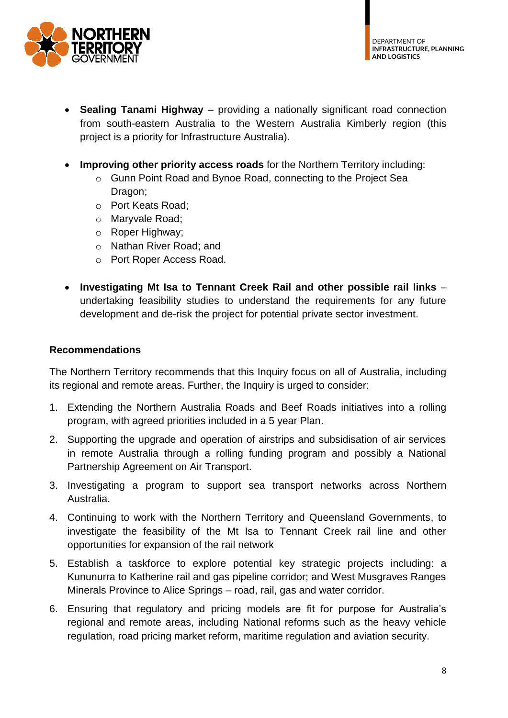

- **Sealing Tanami Highway**  providing a nationally significant road connection from south-eastern Australia to the Western Australia Kimberly region (this project is a priority for Infrastructure Australia).
- **Improving other priority access roads** for the Northern Territory including:
	- o Gunn Point Road and Bynoe Road, connecting to the Project Sea Dragon;
	- o Port Keats Road;
	- o Maryvale Road;
	- o Roper Highway;
	- o Nathan River Road; and
	- o Port Roper Access Road.
- **Investigating Mt Isa to Tennant Creek Rail and other possible rail links** undertaking feasibility studies to understand the requirements for any future development and de-risk the project for potential private sector investment.

#### **Recommendations**

The Northern Territory recommends that this Inquiry focus on all of Australia, including its regional and remote areas. Further, the Inquiry is urged to consider:

- 1. Extending the Northern Australia Roads and Beef Roads initiatives into a rolling program, with agreed priorities included in a 5 year Plan.
- 2. Supporting the upgrade and operation of airstrips and subsidisation of air services in remote Australia through a rolling funding program and possibly a National Partnership Agreement on Air Transport.
- 3. Investigating a program to support sea transport networks across Northern Australia.
- 4. Continuing to work with the Northern Territory and Queensland Governments, to investigate the feasibility of the Mt Isa to Tennant Creek rail line and other opportunities for expansion of the rail network
- 5. Establish a taskforce to explore potential key strategic projects including: a Kununurra to Katherine rail and gas pipeline corridor; and West Musgraves Ranges Minerals Province to Alice Springs – road, rail, gas and water corridor.
- 6. Ensuring that regulatory and pricing models are fit for purpose for Australia's regional and remote areas, including National reforms such as the heavy vehicle regulation, road pricing market reform, maritime regulation and aviation security.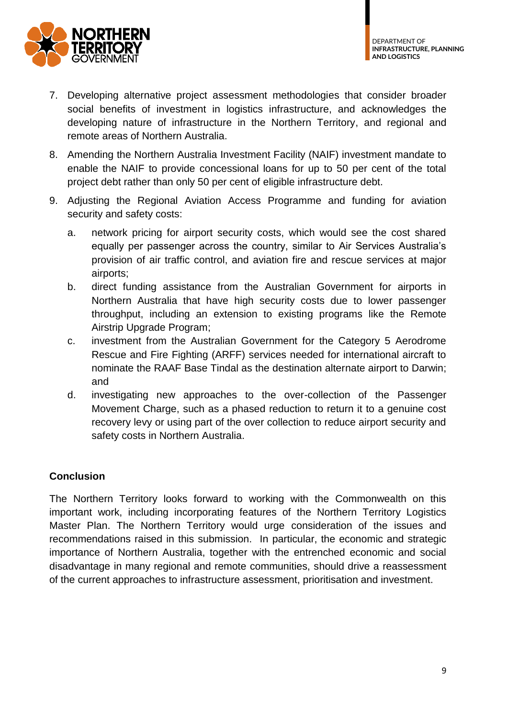

- 7. Developing alternative project assessment methodologies that consider broader social benefits of investment in logistics infrastructure, and acknowledges the developing nature of infrastructure in the Northern Territory, and regional and remote areas of Northern Australia.
- 8. Amending the Northern Australia Investment Facility (NAIF) investment mandate to enable the NAIF to provide concessional loans for up to 50 per cent of the total project debt rather than only 50 per cent of eligible infrastructure debt.
- 9. Adjusting the Regional Aviation Access Programme and funding for aviation security and safety costs:
	- a. network pricing for airport security costs, which would see the cost shared equally per passenger across the country, similar to Air Services Australia's provision of air traffic control, and aviation fire and rescue services at major airports;
	- b. direct funding assistance from the Australian Government for airports in Northern Australia that have high security costs due to lower passenger throughput, including an extension to existing programs like the Remote Airstrip Upgrade Program;
	- c. investment from the Australian Government for the Category 5 Aerodrome Rescue and Fire Fighting (ARFF) services needed for international aircraft to nominate the RAAF Base Tindal as the destination alternate airport to Darwin; and
	- d. investigating new approaches to the over-collection of the Passenger Movement Charge, such as a phased reduction to return it to a genuine cost recovery levy or using part of the over collection to reduce airport security and safety costs in Northern Australia.

# **Conclusion**

The Northern Territory looks forward to working with the Commonwealth on this important work, including incorporating features of the Northern Territory Logistics Master Plan. The Northern Territory would urge consideration of the issues and recommendations raised in this submission. In particular, the economic and strategic importance of Northern Australia, together with the entrenched economic and social disadvantage in many regional and remote communities, should drive a reassessment of the current approaches to infrastructure assessment, prioritisation and investment.